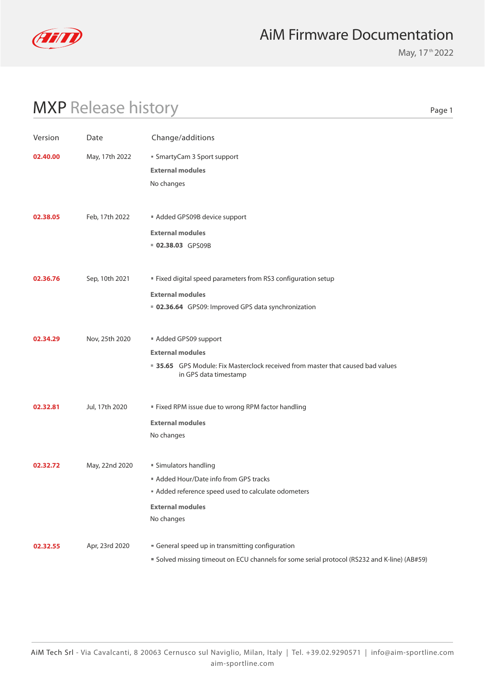

May, 17<sup>th</sup> 2022

# MXP Release history

| . .<br>۰.<br>×<br>×<br>۰. |  |
|---------------------------|--|
|---------------------------|--|

| Version  | Date           | Change/additions                                                                                                                                            |
|----------|----------------|-------------------------------------------------------------------------------------------------------------------------------------------------------------|
| 02.40.00 | May, 17th 2022 | ■ SmartyCam 3 Sport support<br><b>External modules</b><br>No changes                                                                                        |
| 02.38.05 | Feb, 17th 2022 | Added GPS09B device support<br><b>External modules</b><br>02.38.03 GPS09B                                                                                   |
| 02.36.76 | Sep, 10th 2021 | " Fixed digital speed parameters from RS3 configuration setup<br><b>External modules</b><br>■ 02.36.64 GPS09: Improved GPS data synchronization             |
| 02.34.29 | Nov, 25th 2020 | Added GPS09 support<br><b>External modules</b><br>■ 35.65 GPS Module: Fix Masterclock received from master that caused bad values<br>in GPS data timestamp  |
| 02.32.81 | Jul, 17th 2020 | Fixed RPM issue due to wrong RPM factor handling<br><b>External modules</b><br>No changes                                                                   |
| 02.32.72 | May, 22nd 2020 | ■ Simulators handling<br>Added Hour/Date info from GPS tracks<br>Added reference speed used to calculate odometers<br><b>External modules</b><br>No changes |
| 02.32.55 | Apr, 23rd 2020 | General speed up in transmitting configuration<br>" Solved missing timeout on ECU channels for some serial protocol (RS232 and K-line) (AB#59)              |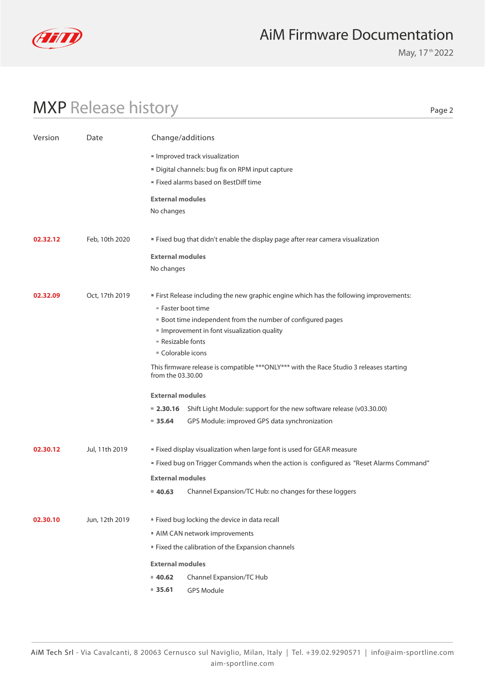

May, 17<sup>th</sup> 2022

# MXP Release history

Page 2

| Version  | Date           | Change/additions                                                                                                                                                                                                                                                                                                                                                                                                                                                                                                                                                |
|----------|----------------|-----------------------------------------------------------------------------------------------------------------------------------------------------------------------------------------------------------------------------------------------------------------------------------------------------------------------------------------------------------------------------------------------------------------------------------------------------------------------------------------------------------------------------------------------------------------|
|          |                | Improved track visualization<br>" Digital channels: bug fix on RPM input capture<br>Fixed alarms based on BestDiff time                                                                                                                                                                                                                                                                                                                                                                                                                                         |
|          |                | <b>External modules</b><br>No changes                                                                                                                                                                                                                                                                                                                                                                                                                                                                                                                           |
| 02.32.12 | Feb, 10th 2020 | " Fixed bug that didn't enable the display page after rear camera visualization                                                                                                                                                                                                                                                                                                                                                                                                                                                                                 |
|          |                | <b>External modules</b><br>No changes                                                                                                                                                                                                                                                                                                                                                                                                                                                                                                                           |
| 02.32.09 | Oct, 17th 2019 | " First Release including the new graphic engine which has the following improvements:<br>" Faster boot time<br><b>Boot time independent from the number of configured pages</b><br>Improvement in font visualization quality<br>■ Resizable fonts<br>■ Colorable icons<br>This firmware release is compatible ***ONLY*** with the Race Studio 3 releases starting<br>from the 03.30.00<br><b>External modules</b><br>■ 2.30.16 Shift Light Module: support for the new software release (v03.30.00)<br>GPS Module: improved GPS data synchronization<br>935.64 |
| 02.30.12 | Jul, 11th 2019 | " Fixed display visualization when large font is used for GEAR measure<br>" Fixed bug on Trigger Commands when the action is configured as "Reset Alarms Command"<br><b>External modules</b><br>Channel Expansion/TC Hub: no changes for these loggers<br>$= 40.63$                                                                                                                                                                                                                                                                                             |
| 02.30.10 | Jun, 12th 2019 | Fixed bug locking the device in data recall<br>AIM CAN network improvements<br>" Fixed the calibration of the Expansion channels<br><b>External modules</b><br>Channel Expansion/TC Hub<br>40.62<br>$\blacksquare$ 35.61<br>GPS Module                                                                                                                                                                                                                                                                                                                          |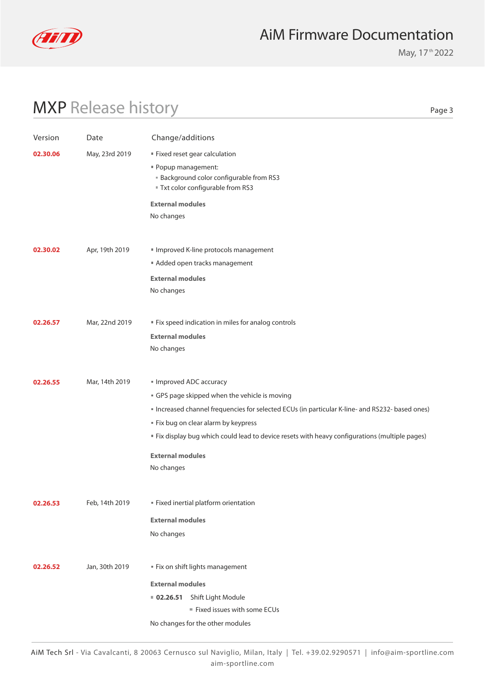

May, 17<sup>th</sup> 2022

# MXP Release history

Page 3

| Version  | Date           | Change/additions                                                                               |
|----------|----------------|------------------------------------------------------------------------------------------------|
| 02.30.06 | May, 23rd 2019 | " Fixed reset gear calculation                                                                 |
|          |                | " Popup management:                                                                            |
|          |                | <b>Background color configurable from RS3</b>                                                  |
|          |                | " Txt color configurable from RS3                                                              |
|          |                | <b>External modules</b>                                                                        |
|          |                | No changes                                                                                     |
|          |                |                                                                                                |
| 02.30.02 | Apr, 19th 2019 | Improved K-line protocols management                                                           |
|          |                | Added open tracks management                                                                   |
|          |                | <b>External modules</b>                                                                        |
|          |                | No changes                                                                                     |
|          |                |                                                                                                |
| 02.26.57 | Mar, 22nd 2019 | " Fix speed indication in miles for analog controls                                            |
|          |                | <b>External modules</b>                                                                        |
|          |                | No changes                                                                                     |
|          |                |                                                                                                |
| 02.26.55 | Mar, 14th 2019 | Improved ADC accuracy                                                                          |
|          |                | GPS page skipped when the vehicle is moving                                                    |
|          |                | Increased channel frequencies for selected ECUs (in particular K-line- and RS232- based ones)  |
|          |                | " Fix bug on clear alarm by keypress                                                           |
|          |                | " Fix display bug which could lead to device resets with heavy configurations (multiple pages) |
|          |                | <b>External modules</b>                                                                        |
|          |                |                                                                                                |
|          |                | No changes                                                                                     |
|          |                |                                                                                                |
| 02.26.53 | Feb, 14th 2019 | Fixed inertial platform orientation                                                            |
|          |                | <b>External modules</b>                                                                        |
|          |                | No changes                                                                                     |
|          |                |                                                                                                |
| 02.26.52 | Jan, 30th 2019 | " Fix on shift lights management                                                               |
|          |                | <b>External modules</b>                                                                        |
|          |                | Shift Light Module<br>02.26.51                                                                 |
|          |                | Fixed issues with some ECUs                                                                    |
|          |                |                                                                                                |
|          |                | No changes for the other modules                                                               |